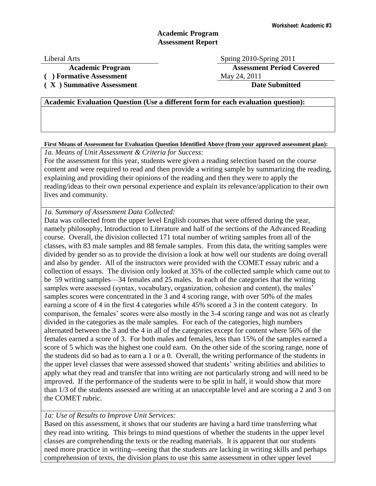## **Academic Program Assessment Report**

Liberal Arts Spring 2010-Spring 2011 **Academic Program Assessment Period Covered** (a) **Formative Assessment** May 24, 2011

**( X ) Summative Assessment Date Submitted**

**Academic Evaluation Question (Use a different form for each evaluation question):**

**First Means of Assessment for Evaluation Question Identified Above (from your approved assessment plan):**

*1a. Means of Unit Assessment & Criteria for Success*:

For the assessment for this year, students were given a reading selection based on the course content and were required to read and then provide a writing sample by summarizing the reading, explaining and providing their opinions of the reading and then they were to apply the reading/ideas to their own personal experience and explain its relevance/application to their own lives and community.

*1a. Summary of Assessment Data Collected:*

Data was collected from the upper level English courses that were offered during the year, namely philosophy, Introduction to Literature and half of the sections of the Advanced Reading course. Overall, the division collected 171 total number of writing samples from all of the classes, with 83 male samples and 88 female samples. From this data, the writing samples were divided by gender so as to provide the division a look at how well our students are doing overall and also by gender. All of the instructors were provided with the COMET essay rubric and a collection of essays. The division only looked at 35% of the collected sample which came out to be 59 writing samples—34 females and 25 males. In each of the categories that the writing samples were assessed (syntax, vocabulary, organization, cohesion and content), the males' samples scores were concentrated in the 3 and 4 scoring range, with over 50% of the males earning a score of 4 in the first 4 categories while 45% scored a 3 in the content category. In comparison, the females' scores were also mostly in the 3-4 scoring range and was not as clearly divided in the categories as the male samples. For each of the categories, high numbers alternated between the 3 and the 4 in all of the categories except for content where 56% of the females earned a score of 3. For both males and females, less than 15% of the samples earned a score of 5 which was the highest one could earn. On the other side of the scoring range, none of the students did so bad as to earn a 1 or a 0. Overall, the writing performance of the students in the upper level classes that were assessed showed that students' writing abilities and abilities to apply what they read and transfer that into writing are not particularly strong and will need to be improved. If the performance of the students were to be split in half, it would show that more than 1/3 of the students assessed are writing at an unacceptable level and are scoring a 2 and 3 on the COMET rubric.

## *1a: Use of Results to Improve Unit Services:*

Based on this assessment, it shows that our students are having a hard time transferring what they read into writing. This brings to mind questions of whether the students in the upper level classes are comprehending the texts or the reading materials. It is apparent that our students need more practice in writing---seeing that the students are lacking in writing skills and perhaps comprehension of texts, the division plans to use this same assessment in other upper level